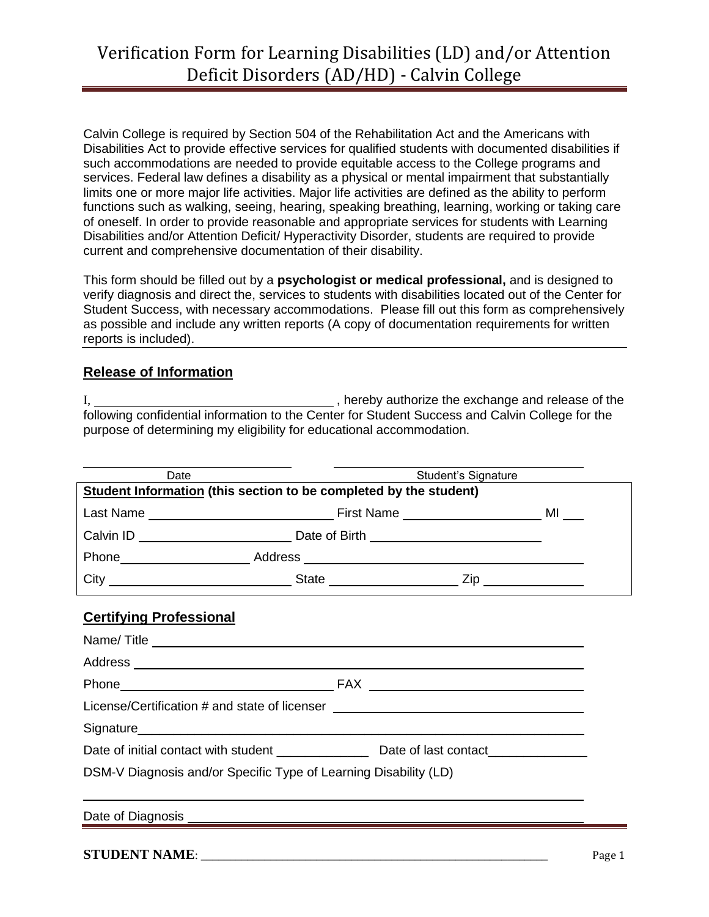## Verification Form for Learning Disabilities (LD) and/or Attention Deficit Disorders (AD/HD) - Calvin College

Calvin College is required by Section 504 of the Rehabilitation Act and the Americans with Disabilities Act to provide effective services for qualified students with documented disabilities if such accommodations are needed to provide equitable access to the College programs and services. Federal law defines a disability as a physical or mental impairment that substantially limits one or more major life activities. Major life activities are defined as the ability to perform functions such as walking, seeing, hearing, speaking breathing, learning, working or taking care of oneself. In order to provide reasonable and appropriate services for students with Learning Disabilities and/or Attention Deficit/ Hyperactivity Disorder, students are required to provide current and comprehensive documentation of their disability.

This form should be filled out by a **psychologist or medical professional,** and is designed to verify diagnosis and direct the, services to students with disabilities located out of the Center for Student Success, with necessary accommodations. Please fill out this form as comprehensively as possible and include any written reports (A copy of documentation requirements for written reports is included).

## **Release of Information**

I, 1. All The exchange and release of the state of the state of the state of the state of the state of the state of the state of the state of the state of the state of the state of the state of the state of the state of th following confidential information to the Center for Student Success and Calvin College for the purpose of determining my eligibility for educational accommodation.

| Date                                                                             |  | Student's Signature |  |  |
|----------------------------------------------------------------------------------|--|---------------------|--|--|
| Student Information (this section to be completed by the student)                |  |                     |  |  |
|                                                                                  |  |                     |  |  |
|                                                                                  |  |                     |  |  |
|                                                                                  |  |                     |  |  |
|                                                                                  |  |                     |  |  |
|                                                                                  |  |                     |  |  |
| <b>Certifying Professional</b>                                                   |  |                     |  |  |
|                                                                                  |  |                     |  |  |
|                                                                                  |  |                     |  |  |
|                                                                                  |  |                     |  |  |
| License/Certification # and state of licenser __________________________________ |  |                     |  |  |
|                                                                                  |  |                     |  |  |
|                                                                                  |  |                     |  |  |
| DSM-V Diagnosis and/or Specific Type of Learning Disability (LD)                 |  |                     |  |  |
|                                                                                  |  |                     |  |  |
|                                                                                  |  |                     |  |  |